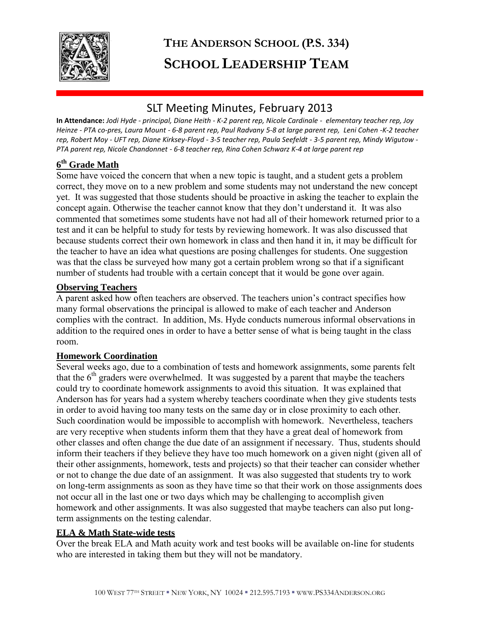

# **THE ANDERSON SCHOOL (P.S. 334) SCHOOL LEADERSHIP TEAM**

# SLT Meeting Minutes, February 2013

**In Attendance:** *Jodi Hyde - principal, Diane Heith - K-2 parent rep, Nicole Cardinale - elementary teacher rep, Joy Heinze - PTA co-pres, Laura Mount - 6-8 parent rep, Paul Radvany 5-8 at large parent rep, Leni Cohen -K-2 teacher rep, Robert Moy - UFT rep, Diane Kirksey-Floyd - 3-5 teacher rep, Paula Seefeldt - 3-5 parent rep, Mindy Wigutow - PTA parent rep, Nicole Chandonnet - 6-8 teacher rep, Rina Cohen Schwarz K-4 at large parent rep* 

# **6 th Grade Math**

Some have voiced the concern that when a new topic is taught, and a student gets a problem correct, they move on to a new problem and some students may not understand the new concept yet. It was suggested that those students should be proactive in asking the teacher to explain the concept again. Otherwise the teacher cannot know that they don't understand it. It was also commented that sometimes some students have not had all of their homework returned prior to a test and it can be helpful to study for tests by reviewing homework. It was also discussed that because students correct their own homework in class and then hand it in, it may be difficult for the teacher to have an idea what questions are posing challenges for students. One suggestion was that the class be surveyed how many got a certain problem wrong so that if a significant number of students had trouble with a certain concept that it would be gone over again.

#### **Observing Teachers**

A parent asked how often teachers are observed. The teachers union's contract specifies how many formal observations the principal is allowed to make of each teacher and Anderson complies with the contract. In addition, Ms. Hyde conducts numerous informal observations in addition to the required ones in order to have a better sense of what is being taught in the class room.

#### **Homework Coordination**

Several weeks ago, due to a combination of tests and homework assignments, some parents felt that the  $6<sup>th</sup>$  graders were overwhelmed. It was suggested by a parent that maybe the teachers could try to coordinate homework assignments to avoid this situation. It was explained that Anderson has for years had a system whereby teachers coordinate when they give students tests in order to avoid having too many tests on the same day or in close proximity to each other. Such coordination would be impossible to accomplish with homework. Nevertheless, teachers are very receptive when students inform them that they have a great deal of homework from other classes and often change the due date of an assignment if necessary. Thus, students should inform their teachers if they believe they have too much homework on a given night (given all of their other assignments, homework, tests and projects) so that their teacher can consider whether or not to change the due date of an assignment. It was also suggested that students try to work on long-term assignments as soon as they have time so that their work on those assignments does not occur all in the last one or two days which may be challenging to accomplish given homework and other assignments. It was also suggested that maybe teachers can also put longterm assignments on the testing calendar.

#### **ELA & Math State-wide tests**

Over the break ELA and Math acuity work and test books will be available on-line for students who are interested in taking them but they will not be mandatory.